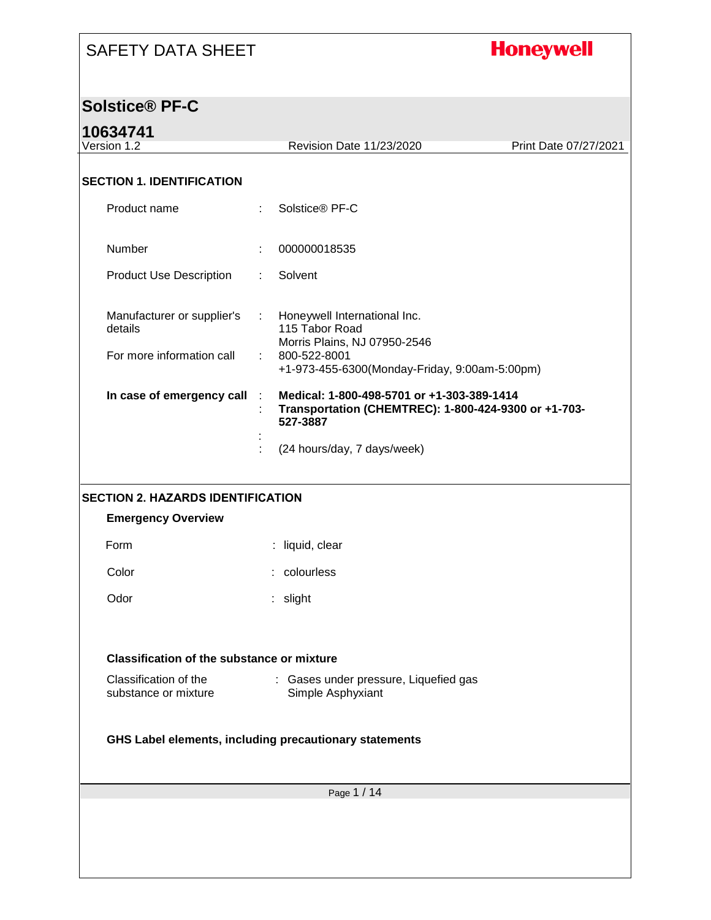## **Honeywell**

#### **Solstice® PF-C**

### **10634741**

| 1 VVVT <i>I</i> 7<br>Version 1.2                                   | Revision Date 11/23/2020                                                                                                                                             | Print Date 07/27/2021 |
|--------------------------------------------------------------------|----------------------------------------------------------------------------------------------------------------------------------------------------------------------|-----------------------|
| <b>SECTION 1. IDENTIFICATION</b>                                   |                                                                                                                                                                      |                       |
| Product name                                                       | Solstice® PF-C<br>÷.                                                                                                                                                 |                       |
| Number                                                             | 000000018535                                                                                                                                                         |                       |
| <b>Product Use Description</b>                                     | Solvent<br>÷.                                                                                                                                                        |                       |
| Manufacturer or supplier's<br>details<br>For more information call | Honeywell International Inc.<br>÷.<br>115 Tabor Road<br>Morris Plains, NJ 07950-2546<br>800-522-8001<br>÷                                                            |                       |
| In case of emergency call                                          | +1-973-455-6300(Monday-Friday, 9:00am-5:00pm)<br>Medical: 1-800-498-5701 or +1-303-389-1414<br>÷<br>Transportation (CHEMTREC): 1-800-424-9300 or +1-703-<br>527-3887 |                       |
|                                                                    | (24 hours/day, 7 days/week)                                                                                                                                          |                       |
|                                                                    |                                                                                                                                                                      |                       |
| <b>SECTION 2. HAZARDS IDENTIFICATION</b>                           |                                                                                                                                                                      |                       |
| <b>Emergency Overview</b>                                          |                                                                                                                                                                      |                       |
| Form                                                               | : liquid, clear                                                                                                                                                      |                       |
| Color                                                              | : colourless                                                                                                                                                         |                       |
| Odor                                                               | : slight                                                                                                                                                             |                       |
| <b>Classification of the substance or mixture</b>                  |                                                                                                                                                                      |                       |
| Classification of the                                              | Gases under pressure, Liquefied gas                                                                                                                                  |                       |
| substance or mixture                                               | Simple Asphyxiant                                                                                                                                                    |                       |
|                                                                    | GHS Label elements, including precautionary statements                                                                                                               |                       |
|                                                                    | Page 1 / 14                                                                                                                                                          |                       |
|                                                                    |                                                                                                                                                                      |                       |
|                                                                    |                                                                                                                                                                      |                       |
|                                                                    |                                                                                                                                                                      |                       |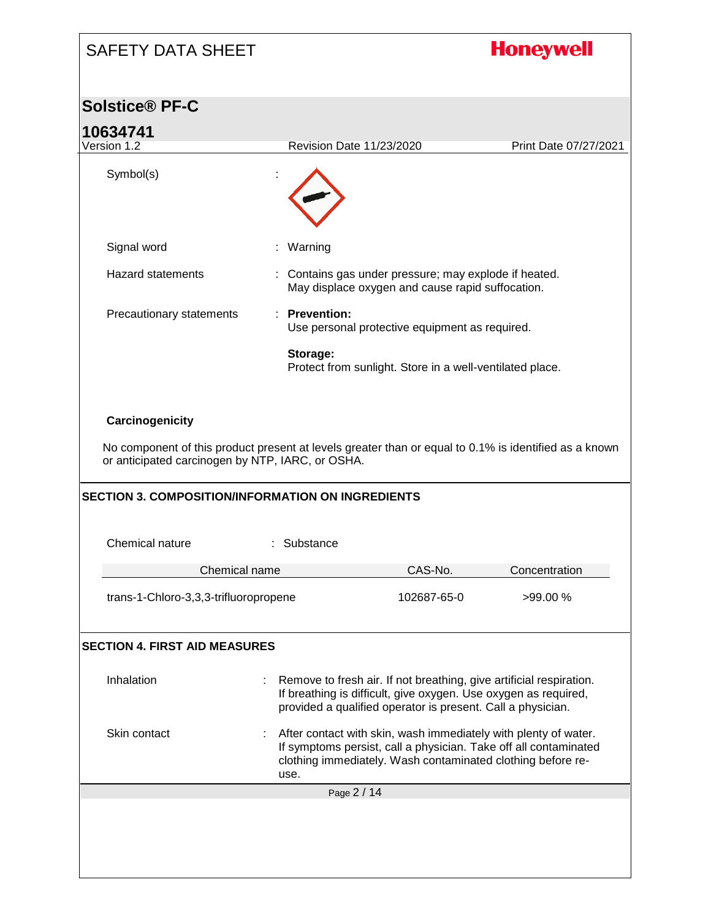| <b>SAFETY DATA SHEET</b>                                                                                                                                                                                                                 |                                                                                                                                                                                                       |                        | <b>Honeywell</b>                                                 |
|------------------------------------------------------------------------------------------------------------------------------------------------------------------------------------------------------------------------------------------|-------------------------------------------------------------------------------------------------------------------------------------------------------------------------------------------------------|------------------------|------------------------------------------------------------------|
| <b>Solstice® PF-C</b>                                                                                                                                                                                                                    |                                                                                                                                                                                                       |                        |                                                                  |
| 10634741                                                                                                                                                                                                                                 |                                                                                                                                                                                                       |                        |                                                                  |
| Version 1.2                                                                                                                                                                                                                              | Revision Date 11/23/2020                                                                                                                                                                              |                        | Print Date 07/27/2021                                            |
| Symbol(s)                                                                                                                                                                                                                                |                                                                                                                                                                                                       |                        |                                                                  |
| Signal word                                                                                                                                                                                                                              | : Warning                                                                                                                                                                                             |                        |                                                                  |
| <b>Hazard statements</b>                                                                                                                                                                                                                 | : Contains gas under pressure; may explode if heated.<br>May displace oxygen and cause rapid suffocation.                                                                                             |                        |                                                                  |
| Precautionary statements                                                                                                                                                                                                                 | : Prevention:<br>Use personal protective equipment as required.                                                                                                                                       |                        |                                                                  |
|                                                                                                                                                                                                                                          | Storage:<br>Protect from sunlight. Store in a well-ventilated place.                                                                                                                                  |                        |                                                                  |
| Carcinogenicity<br>No component of this product present at levels greater than or equal to 0.1% is identified as a known<br>or anticipated carcinogen by NTP, IARC, or OSHA.<br><b>SECTION 3. COMPOSITION/INFORMATION ON INGREDIENTS</b> |                                                                                                                                                                                                       |                        |                                                                  |
| Chemical nature                                                                                                                                                                                                                          | Substance                                                                                                                                                                                             |                        |                                                                  |
|                                                                                                                                                                                                                                          |                                                                                                                                                                                                       |                        |                                                                  |
| Chemical name<br>trans-1-Chloro-3,3,3-trifluoropropene                                                                                                                                                                                   |                                                                                                                                                                                                       | CAS-No.<br>102687-65-0 | Concentration<br>>99.00 %                                        |
| <b>SECTION 4. FIRST AID MEASURES</b>                                                                                                                                                                                                     |                                                                                                                                                                                                       |                        |                                                                  |
| Inhalation                                                                                                                                                                                                                               | Remove to fresh air. If not breathing, give artificial respiration.<br>If breathing is difficult, give oxygen. Use oxygen as required,<br>provided a qualified operator is present. Call a physician. |                        |                                                                  |
| Skin contact                                                                                                                                                                                                                             | After contact with skin, wash immediately with plenty of water.<br>clothing immediately. Wash contaminated clothing before re-<br>use.                                                                |                        | If symptoms persist, call a physician. Take off all contaminated |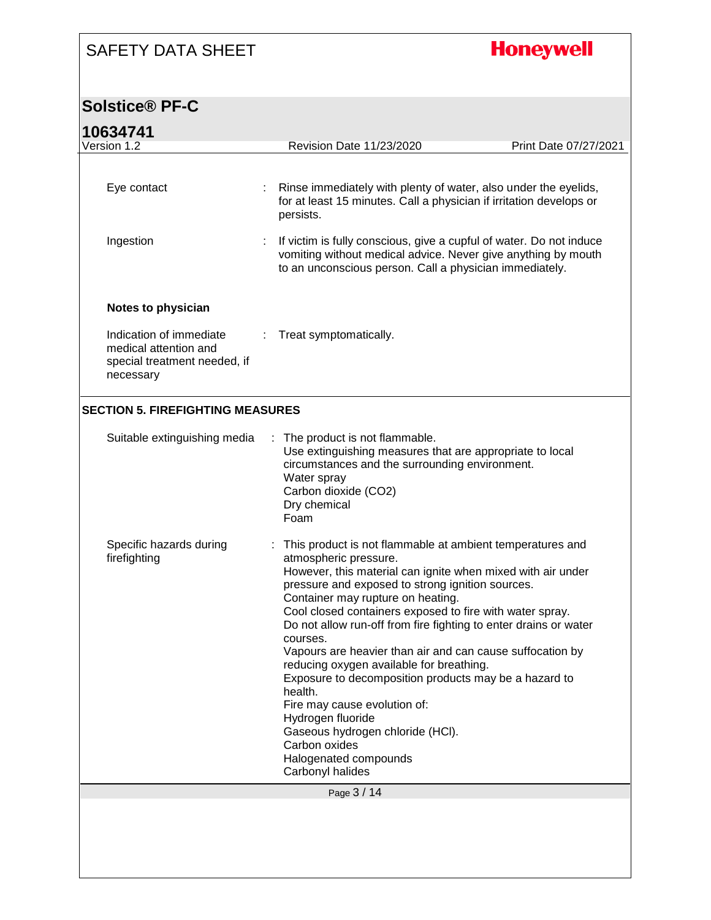## **Honeywell**

### **Solstice® PF-C**

| Version 1.2                                                                                   | Revision Date 11/23/2020                                                                                                                                                                                                                                                                                                                                                                                                                                                                                                                                                                                                                                                                                                   | Print Date 07/27/2021 |
|-----------------------------------------------------------------------------------------------|----------------------------------------------------------------------------------------------------------------------------------------------------------------------------------------------------------------------------------------------------------------------------------------------------------------------------------------------------------------------------------------------------------------------------------------------------------------------------------------------------------------------------------------------------------------------------------------------------------------------------------------------------------------------------------------------------------------------------|-----------------------|
| Eye contact                                                                                   | Rinse immediately with plenty of water, also under the eyelids,<br>for at least 15 minutes. Call a physician if irritation develops or<br>persists.                                                                                                                                                                                                                                                                                                                                                                                                                                                                                                                                                                        |                       |
| Ingestion                                                                                     | If victim is fully conscious, give a cupful of water. Do not induce<br>vomiting without medical advice. Never give anything by mouth<br>to an unconscious person. Call a physician immediately.                                                                                                                                                                                                                                                                                                                                                                                                                                                                                                                            |                       |
| Notes to physician                                                                            |                                                                                                                                                                                                                                                                                                                                                                                                                                                                                                                                                                                                                                                                                                                            |                       |
| Indication of immediate<br>medical attention and<br>special treatment needed, if<br>necessary | Treat symptomatically.                                                                                                                                                                                                                                                                                                                                                                                                                                                                                                                                                                                                                                                                                                     |                       |
| <b>SECTION 5. FIREFIGHTING MEASURES</b>                                                       |                                                                                                                                                                                                                                                                                                                                                                                                                                                                                                                                                                                                                                                                                                                            |                       |
| Suitable extinguishing media                                                                  | : The product is not flammable.<br>Use extinguishing measures that are appropriate to local<br>circumstances and the surrounding environment.<br>Water spray<br>Carbon dioxide (CO2)<br>Dry chemical                                                                                                                                                                                                                                                                                                                                                                                                                                                                                                                       |                       |
|                                                                                               | Foam                                                                                                                                                                                                                                                                                                                                                                                                                                                                                                                                                                                                                                                                                                                       |                       |
| Specific hazards during<br>firefighting                                                       | This product is not flammable at ambient temperatures and<br>atmospheric pressure.<br>However, this material can ignite when mixed with air under<br>pressure and exposed to strong ignition sources.<br>Container may rupture on heating.<br>Cool closed containers exposed to fire with water spray.<br>Do not allow run-off from fire fighting to enter drains or water<br>courses.<br>Vapours are heavier than air and can cause suffocation by<br>reducing oxygen available for breathing.<br>Exposure to decomposition products may be a hazard to<br>health.<br>Fire may cause evolution of:<br>Hydrogen fluoride<br>Gaseous hydrogen chloride (HCI).<br>Carbon oxides<br>Halogenated compounds<br>Carbonyl halides |                       |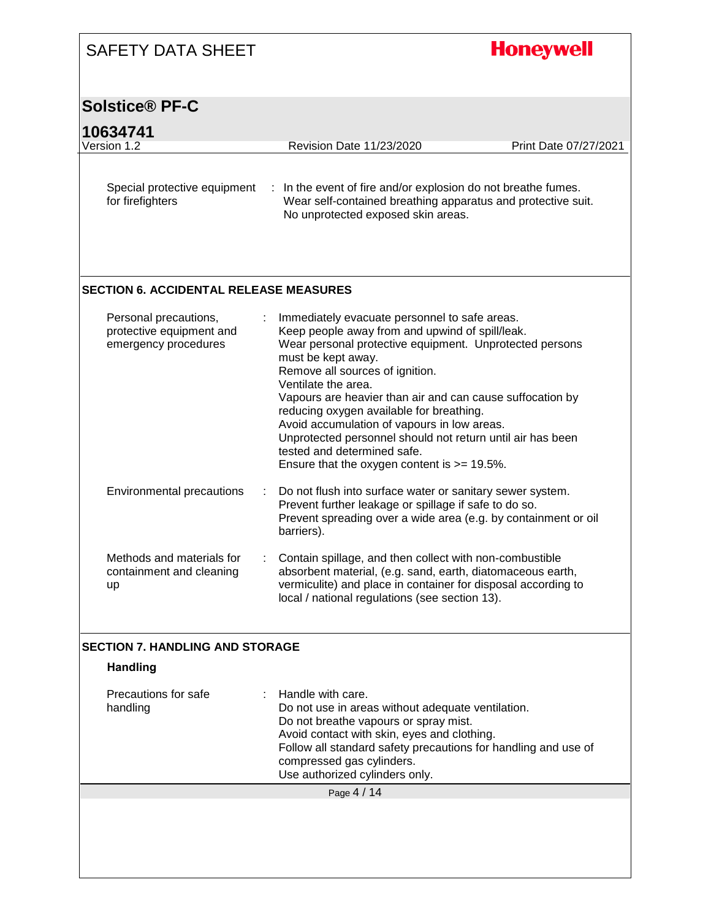| <b>SAFETY DATA SHEET</b>                                                  |                                                                                                                                                                                                                                                                                                                                                                                                                                                                                                                                                      | <b>Honeywell</b>      |
|---------------------------------------------------------------------------|------------------------------------------------------------------------------------------------------------------------------------------------------------------------------------------------------------------------------------------------------------------------------------------------------------------------------------------------------------------------------------------------------------------------------------------------------------------------------------------------------------------------------------------------------|-----------------------|
| <b>Solstice® PF-C</b>                                                     |                                                                                                                                                                                                                                                                                                                                                                                                                                                                                                                                                      |                       |
| 10634741<br>Version 1.2                                                   | <b>Revision Date 11/23/2020</b>                                                                                                                                                                                                                                                                                                                                                                                                                                                                                                                      | Print Date 07/27/2021 |
| Special protective equipment<br>for firefighters                          | : In the event of fire and/or explosion do not breathe fumes.<br>Wear self-contained breathing apparatus and protective suit.<br>No unprotected exposed skin areas.                                                                                                                                                                                                                                                                                                                                                                                  |                       |
| <b>SECTION 6. ACCIDENTAL RELEASE MEASURES</b>                             |                                                                                                                                                                                                                                                                                                                                                                                                                                                                                                                                                      |                       |
| Personal precautions,<br>protective equipment and<br>emergency procedures | Immediately evacuate personnel to safe areas.<br>Keep people away from and upwind of spill/leak.<br>Wear personal protective equipment. Unprotected persons<br>must be kept away.<br>Remove all sources of ignition.<br>Ventilate the area.<br>Vapours are heavier than air and can cause suffocation by<br>reducing oxygen available for breathing.<br>Avoid accumulation of vapours in low areas.<br>Unprotected personnel should not return until air has been<br>tested and determined safe.<br>Ensure that the oxygen content is $\ge$ = 19.5%. |                       |
| Environmental precautions                                                 | Do not flush into surface water or sanitary sewer system.<br>÷<br>Prevent further leakage or spillage if safe to do so.<br>Prevent spreading over a wide area (e.g. by containment or oil<br>barriers).                                                                                                                                                                                                                                                                                                                                              |                       |
| Methods and materials for<br>containment and cleaning<br>up               | Contain spillage, and then collect with non-combustible<br>absorbent material, (e.g. sand, earth, diatomaceous earth,<br>vermiculite) and place in container for disposal according to<br>local / national regulations (see section 13).                                                                                                                                                                                                                                                                                                             |                       |
| <b>SECTION 7. HANDLING AND STORAGE</b>                                    |                                                                                                                                                                                                                                                                                                                                                                                                                                                                                                                                                      |                       |
| <b>Handling</b>                                                           |                                                                                                                                                                                                                                                                                                                                                                                                                                                                                                                                                      |                       |
| Precautions for safe<br>handling                                          | Handle with care.<br>÷<br>Do not use in areas without adequate ventilation.<br>Do not breathe vapours or spray mist.<br>Avoid contact with skin, eyes and clothing.<br>Follow all standard safety precautions for handling and use of<br>compressed gas cylinders.<br>Use authorized cylinders only.                                                                                                                                                                                                                                                 |                       |
|                                                                           | Page 4 / 14                                                                                                                                                                                                                                                                                                                                                                                                                                                                                                                                          |                       |
|                                                                           |                                                                                                                                                                                                                                                                                                                                                                                                                                                                                                                                                      |                       |

I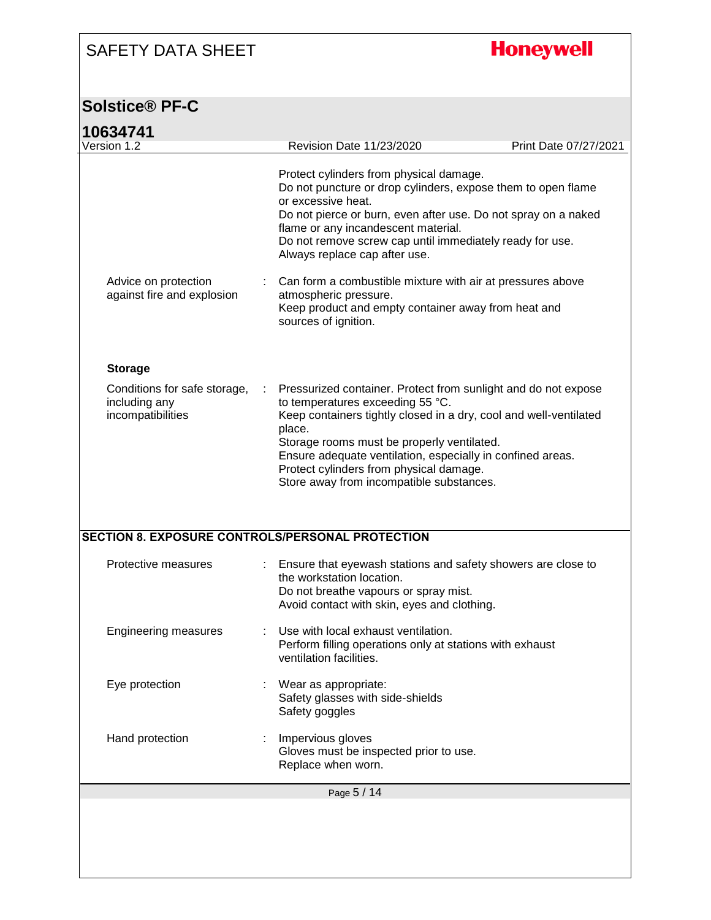## **Honeywell**

### **Solstice® PF-C**

| 10634741<br>Version 1.2                                            | <b>Revision Date 11/23/2020</b>                                                                                                                                                                                                                                                                                                     | Print Date 07/27/2021 |
|--------------------------------------------------------------------|-------------------------------------------------------------------------------------------------------------------------------------------------------------------------------------------------------------------------------------------------------------------------------------------------------------------------------------|-----------------------|
|                                                                    |                                                                                                                                                                                                                                                                                                                                     |                       |
|                                                                    | Protect cylinders from physical damage.<br>Do not puncture or drop cylinders, expose them to open flame<br>or excessive heat.<br>Do not pierce or burn, even after use. Do not spray on a naked<br>flame or any incandescent material.<br>Do not remove screw cap until immediately ready for use.<br>Always replace cap after use. |                       |
| Advice on protection<br>against fire and explosion                 | Can form a combustible mixture with air at pressures above<br>atmospheric pressure.<br>Keep product and empty container away from heat and<br>sources of ignition.                                                                                                                                                                  |                       |
| <b>Storage</b>                                                     |                                                                                                                                                                                                                                                                                                                                     |                       |
| Conditions for safe storage,<br>including any<br>incompatibilities | Pressurized container. Protect from sunlight and do not expose<br>to temperatures exceeding 55 °C.<br>Keep containers tightly closed in a dry, cool and well-ventilated<br>place.                                                                                                                                                   |                       |
|                                                                    | Storage rooms must be properly ventilated.<br>Ensure adequate ventilation, especially in confined areas.<br>Protect cylinders from physical damage.<br>Store away from incompatible substances.                                                                                                                                     |                       |
|                                                                    | SECTION 8. EXPOSURE CONTROLS/PERSONAL PROTECTION                                                                                                                                                                                                                                                                                    |                       |
| Protective measures                                                | Ensure that eyewash stations and safety showers are close to<br>the workstation location.<br>Do not breathe vapours or spray mist.<br>Avoid contact with skin, eyes and clothing.                                                                                                                                                   |                       |
| <b>Engineering measures</b>                                        | Use with local exhaust ventilation.<br>Perform filling operations only at stations with exhaust<br>ventilation facilities.                                                                                                                                                                                                          |                       |
| Eye protection                                                     | Wear as appropriate:<br>Safety glasses with side-shields<br>Safety goggles                                                                                                                                                                                                                                                          |                       |
| Hand protection                                                    | Impervious gloves<br>Gloves must be inspected prior to use.<br>Replace when worn.                                                                                                                                                                                                                                                   |                       |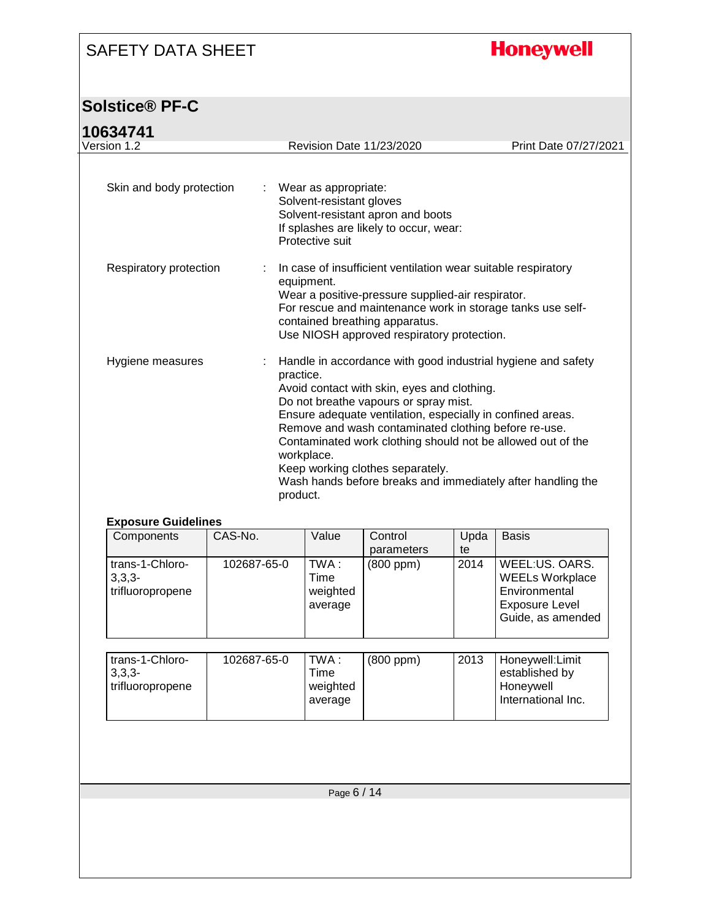**Honeywell** 

### **Solstice® PF-C**

#### **10634741**

| Version 1.2<br>Skin and body protection<br>÷        | <b>Revision Date 11/23/2020</b><br>Wear as appropriate:<br>Solvent-resistant gloves<br>Solvent-resistant apron and boots                                                                                                                                                              |                                        |      | Print Date 07/27/2021                                                                                                                                                                      |
|-----------------------------------------------------|---------------------------------------------------------------------------------------------------------------------------------------------------------------------------------------------------------------------------------------------------------------------------------------|----------------------------------------|------|--------------------------------------------------------------------------------------------------------------------------------------------------------------------------------------------|
|                                                     |                                                                                                                                                                                                                                                                                       |                                        |      |                                                                                                                                                                                            |
|                                                     |                                                                                                                                                                                                                                                                                       |                                        |      |                                                                                                                                                                                            |
|                                                     | Protective suit                                                                                                                                                                                                                                                                       | If splashes are likely to occur, wear: |      |                                                                                                                                                                                            |
| Respiratory protection                              | In case of insufficient ventilation wear suitable respiratory<br>equipment.<br>Wear a positive-pressure supplied-air respirator.<br>For rescue and maintenance work in storage tanks use self-<br>contained breathing apparatus.<br>Use NIOSH approved respiratory protection.        |                                        |      |                                                                                                                                                                                            |
| Hygiene measures                                    | practice.<br>Avoid contact with skin, eyes and clothing.<br>Do not breathe vapours or spray mist.<br>Ensure adequate ventilation, especially in confined areas.<br>Remove and wash contaminated clothing before re-use.<br>workplace.<br>Keep working clothes separately.<br>product. |                                        |      | Handle in accordance with good industrial hygiene and safety<br>Contaminated work clothing should not be allowed out of the<br>Wash hands before breaks and immediately after handling the |
| <b>Exposure Guidelines</b><br>CAS-No.<br>Components |                                                                                                                                                                                                                                                                                       | Control                                | Upda | <b>Basis</b>                                                                                                                                                                               |

| Components                                      | CAS-No.     | Value                                | Control        | Upda | <b>Basis</b>                                                                                     |
|-------------------------------------------------|-------------|--------------------------------------|----------------|------|--------------------------------------------------------------------------------------------------|
|                                                 |             |                                      | parameters     | te   |                                                                                                  |
| trans-1-Chloro-<br>$3,3,3-$<br>trifluoropropene | 102687-65-0 | TWA :<br>Time<br>weighted<br>average | $(800$ ppm $)$ | 2014 | WEEL:US, OARS.<br><b>WEELs Workplace</b><br>Environmental<br>Exposure Level<br>Guide, as amended |

| trans-1-Chloro-<br>$3.3.3 -$<br>trifluoropropene | 102687-65-0 | TWA :<br>Time<br>weighted<br>average | $(800$ ppm $)$ | 2013 | Honeywell: Limit<br>established by<br>Honeywell<br>International Inc. |
|--------------------------------------------------|-------------|--------------------------------------|----------------|------|-----------------------------------------------------------------------|
|                                                  |             |                                      |                |      |                                                                       |

Page 6 / 14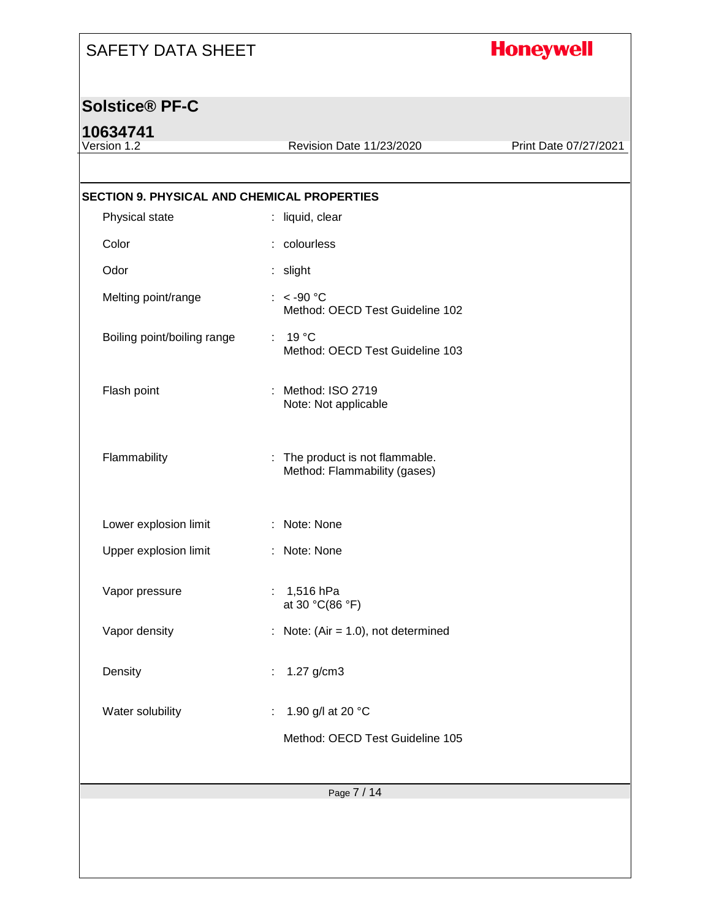## **Honeywell**

#### **Solstice® PF-C**

# **10634741**<br>Version 1.2

Revision Date 11/23/2020 Print Date 07/27/2021

| <b>SECTION 9. PHYSICAL AND CHEMICAL PROPERTIES</b> |                                                                 |
|----------------------------------------------------|-----------------------------------------------------------------|
| Physical state                                     | : liquid, clear                                                 |
| Color                                              | : colourless                                                    |
| Odor                                               | : slight                                                        |
| Melting point/range                                | : $< -90$ °C<br>Method: OECD Test Guideline 102                 |
| Boiling point/boiling range                        | : 19 °C<br>Method: OECD Test Guideline 103                      |
| Flash point                                        | : Method: ISO 2719<br>Note: Not applicable                      |
| Flammability                                       | : The product is not flammable.<br>Method: Flammability (gases) |
| Lower explosion limit                              | : Note: None                                                    |
| Upper explosion limit                              | : Note: None                                                    |
| Vapor pressure                                     | : $1,516$ hPa<br>at 30 °C(86 °F)                                |
| Vapor density                                      | : Note: (Air = $1.0$ ), not determined                          |
| Density                                            | 1.27 g/cm3<br>÷                                                 |
| Water solubility                                   | 1.90 g/l at 20 °C                                               |
|                                                    | Method: OECD Test Guideline 105                                 |
|                                                    |                                                                 |
|                                                    | Page 7 / 14                                                     |
|                                                    |                                                                 |
|                                                    |                                                                 |
|                                                    |                                                                 |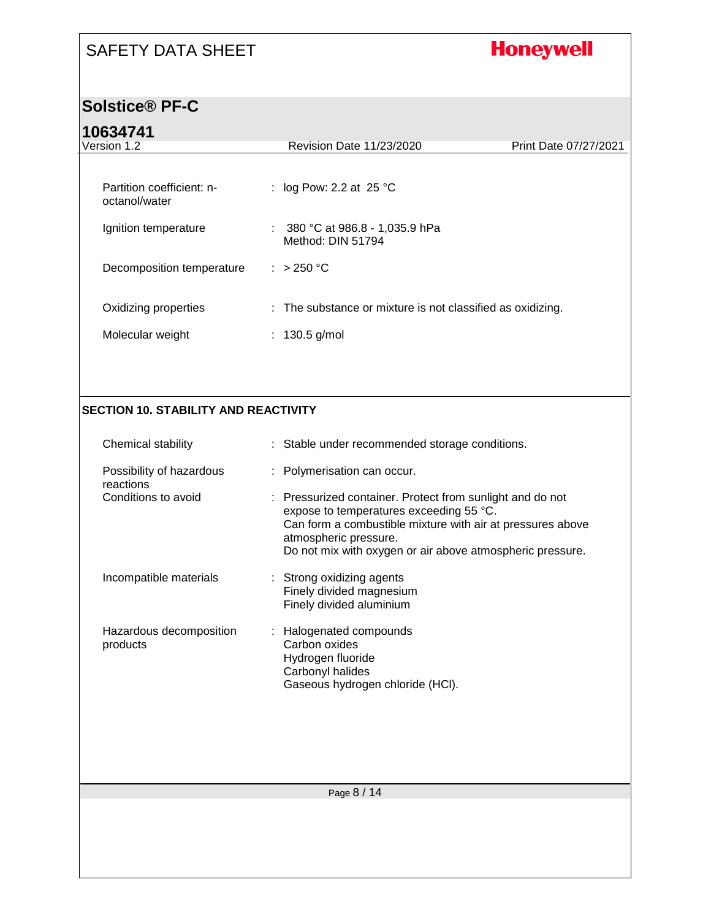## **Honeywell**

#### **Solstice® PF-C**

#### **10634741**

| 10034741                                    |                                                            |                       |
|---------------------------------------------|------------------------------------------------------------|-----------------------|
| Version 1.2                                 | Revision Date 11/23/2020                                   | Print Date 07/27/2021 |
| Partition coefficient: n-<br>octanol/water  | : log Pow: 2.2 at 25 $^{\circ}$ C                          |                       |
| Ignition temperature                        | : $380 °C$ at 986.8 - 1,035.9 hPa<br>Method: DIN 51794     |                       |
| Decomposition temperature                   | : $>250 °C$                                                |                       |
| Oxidizing properties                        | : The substance or mixture is not classified as oxidizing. |                       |
| Molecular weight                            | : $130.5$ g/mol                                            |                       |
|                                             |                                                            |                       |
| <b>SECTION 10. STABILITY AND REACTIVITY</b> |                                                            |                       |
| Chemical stability                          | : Stable under recommended storage conditions.             |                       |
| Possibility of hazardous                    | : Polymerisation can occur.                                |                       |

| reactions<br>Conditions to avoid | : Pressurized container. Protect from sunlight and do not<br>expose to temperatures exceeding 55 °C.<br>Can form a combustible mixture with air at pressures above<br>atmospheric pressure.<br>Do not mix with oxygen or air above atmospheric pressure. |
|----------------------------------|----------------------------------------------------------------------------------------------------------------------------------------------------------------------------------------------------------------------------------------------------------|
| Incompatible materials           | : Strong oxidizing agents<br>Finely divided magnesium<br>Finely divided aluminium                                                                                                                                                                        |

| Hazardous decomposition<br>products | : Halogenated compounds<br>Carbon oxides<br>Hydrogen fluoride<br>Carbonyl halides<br>Gaseous hydrogen chloride (HCI). |
|-------------------------------------|-----------------------------------------------------------------------------------------------------------------------|
|-------------------------------------|-----------------------------------------------------------------------------------------------------------------------|

Page 8 / 14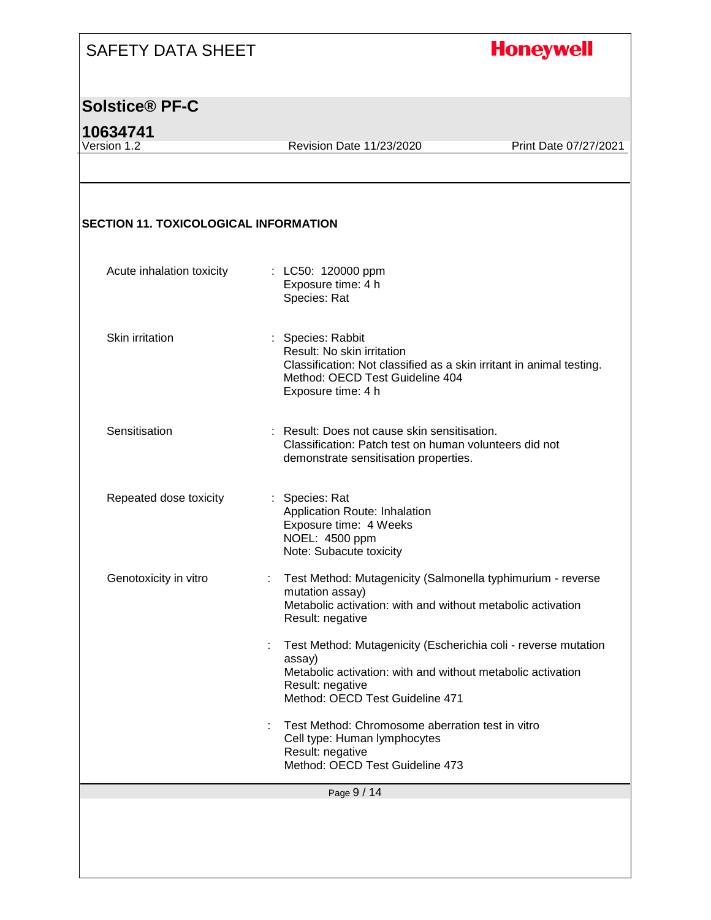#### **Honeywell**

#### **Solstice® PF-C**

**10634741** Revision Date 11/23/2020 Print Date 07/27/2021 **SECTION 11. TOXICOLOGICAL INFORMATION** Acute inhalation toxicity : LC50: 120000 ppm Exposure time: 4 h Species: Rat Skin irritation : Species: Rabbit Result: No skin irritation Classification: Not classified as a skin irritant in animal testing. Method: OECD Test Guideline 404 Exposure time: 4 h Sensitisation : Result: Does not cause skin sensitisation. Classification: Patch test on human volunteers did not demonstrate sensitisation properties. Repeated dose toxicity : Species: Rat Application Route: Inhalation Exposure time: 4 Weeks NOEL: 4500 ppm Note: Subacute toxicity Genotoxicity in vitro : Test Method: Mutagenicity (Salmonella typhimurium - reverse mutation assay) Metabolic activation: with and without metabolic activation Result: negative

> : Test Method: Mutagenicity (Escherichia coli - reverse mutation assay) Metabolic activation: with and without metabolic activation Result: negative Method: OECD Test Guideline 471

: Test Method: Chromosome aberration test in vitro Cell type: Human lymphocytes Result: negative Method: OECD Test Guideline 473

Page 9 / 14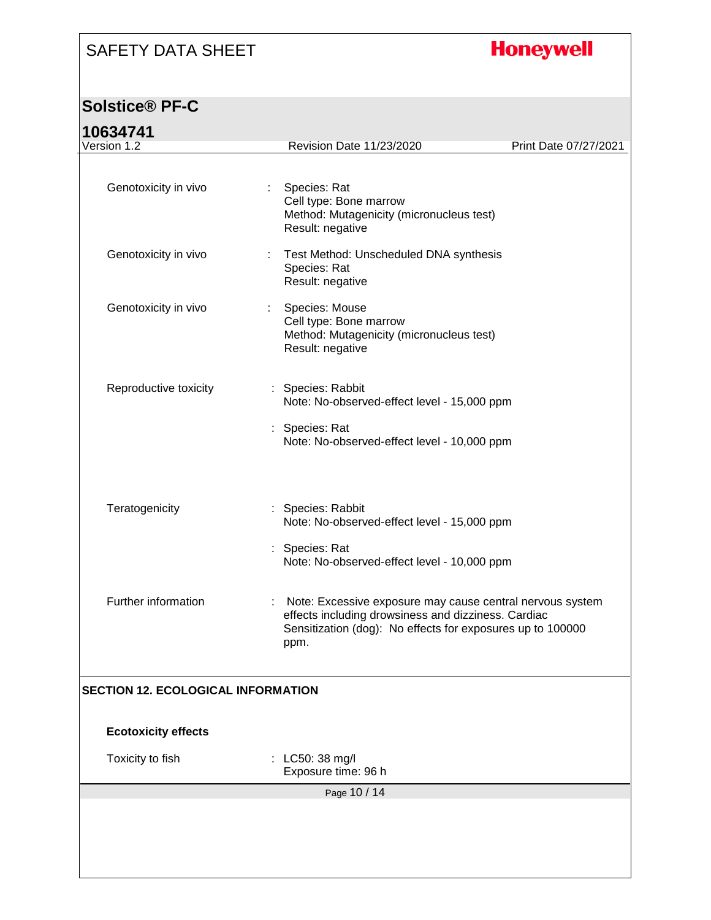## **Honeywell**

### **Solstice® PF-C**

### **10634741**

| 10034741                                  |    |                                                                                                                                                                                          |                       |  |
|-------------------------------------------|----|------------------------------------------------------------------------------------------------------------------------------------------------------------------------------------------|-----------------------|--|
| Version 1.2                               |    | Revision Date 11/23/2020                                                                                                                                                                 | Print Date 07/27/2021 |  |
| Genotoxicity in vivo                      | t. | Species: Rat<br>Cell type: Bone marrow<br>Method: Mutagenicity (micronucleus test)<br>Result: negative                                                                                   |                       |  |
| Genotoxicity in vivo                      |    | Test Method: Unscheduled DNA synthesis<br>Species: Rat<br>Result: negative                                                                                                               |                       |  |
| Genotoxicity in vivo                      | ÷. | Species: Mouse<br>Cell type: Bone marrow<br>Method: Mutagenicity (micronucleus test)<br>Result: negative                                                                                 |                       |  |
| Reproductive toxicity                     |    | : Species: Rabbit<br>Note: No-observed-effect level - 15,000 ppm<br>: Species: Rat<br>Note: No-observed-effect level - 10,000 ppm                                                        |                       |  |
| Teratogenicity                            |    | : Species: Rabbit<br>Note: No-observed-effect level - 15,000 ppm<br>: Species: Rat<br>Note: No-observed-effect level - 10,000 ppm                                                        |                       |  |
| Further information                       |    | : Note: Excessive exposure may cause central nervous system<br>effects including drowsiness and dizziness. Cardiac<br>Sensitization (dog): No effects for exposures up to 100000<br>ppm. |                       |  |
| <b>SECTION 12. ECOLOGICAL INFORMATION</b> |    |                                                                                                                                                                                          |                       |  |
| <b>Ecotoxicity effects</b>                |    |                                                                                                                                                                                          |                       |  |
| Toxicity to fish                          |    | : LC50: 38 mg/l<br>Exposure time: 96 h                                                                                                                                                   |                       |  |
|                                           |    | Page 10 / 14                                                                                                                                                                             |                       |  |
|                                           |    |                                                                                                                                                                                          |                       |  |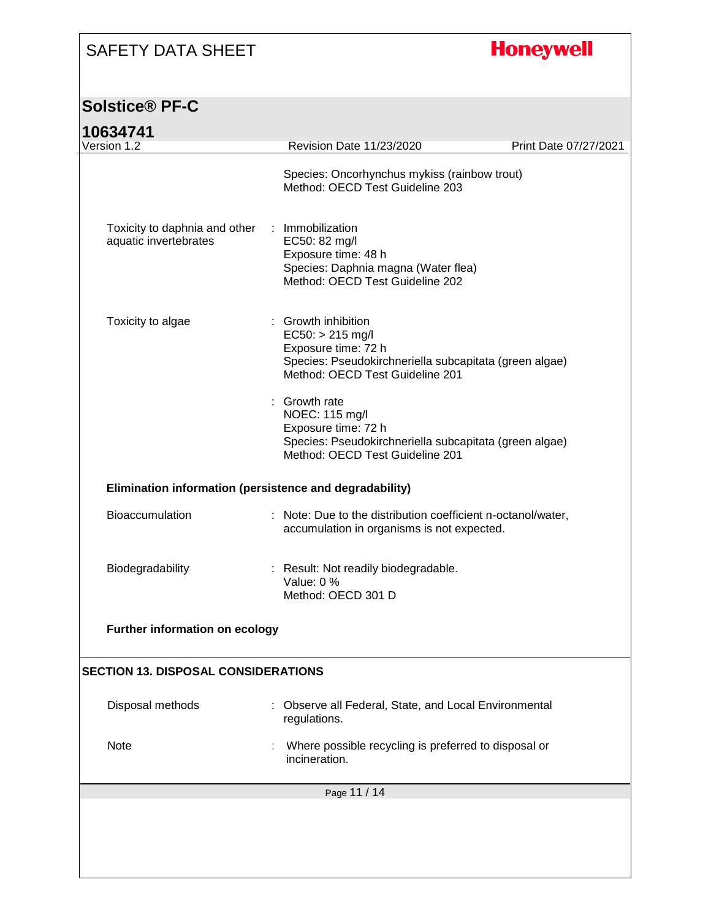## **Honeywell**

### **Solstice® PF-C**

| 10634741 |
|----------|
|          |

| 10634741<br>Version 1.2                                 | <b>Revision Date 11/23/2020</b>                                                                                                                             | Print Date 07/27/2021 |  |  |  |
|---------------------------------------------------------|-------------------------------------------------------------------------------------------------------------------------------------------------------------|-----------------------|--|--|--|
|                                                         |                                                                                                                                                             |                       |  |  |  |
|                                                         | Species: Oncorhynchus mykiss (rainbow trout)<br>Method: OECD Test Guideline 203                                                                             |                       |  |  |  |
| Toxicity to daphnia and other<br>aquatic invertebrates  | : Immobilization<br>EC50: 82 mg/l<br>Exposure time: 48 h<br>Species: Daphnia magna (Water flea)<br>Method: OECD Test Guideline 202                          |                       |  |  |  |
| Toxicity to algae                                       | Growth inhibition<br>$EC50: > 215$ mg/l<br>Exposure time: 72 h<br>Species: Pseudokirchneriella subcapitata (green algae)<br>Method: OECD Test Guideline 201 |                       |  |  |  |
|                                                         | : Growth rate<br>NOEC: 115 mg/l<br>Exposure time: 72 h<br>Species: Pseudokirchneriella subcapitata (green algae)<br>Method: OECD Test Guideline 201         |                       |  |  |  |
| Elimination information (persistence and degradability) |                                                                                                                                                             |                       |  |  |  |
| Bioaccumulation                                         | : Note: Due to the distribution coefficient n-octanol/water,<br>accumulation in organisms is not expected.                                                  |                       |  |  |  |
| Biodegradability                                        | : Result: Not readily biodegradable.<br>Value: 0 %<br>Method: OECD 301 D                                                                                    |                       |  |  |  |
| Further information on ecology                          |                                                                                                                                                             |                       |  |  |  |
| <b>SECTION 13. DISPOSAL CONSIDERATIONS</b>              |                                                                                                                                                             |                       |  |  |  |
| Disposal methods                                        | Observe all Federal, State, and Local Environmental<br>regulations.                                                                                         |                       |  |  |  |
| Note                                                    | Where possible recycling is preferred to disposal or<br>incineration.                                                                                       |                       |  |  |  |
|                                                         | Page 11 / 14                                                                                                                                                |                       |  |  |  |
|                                                         |                                                                                                                                                             |                       |  |  |  |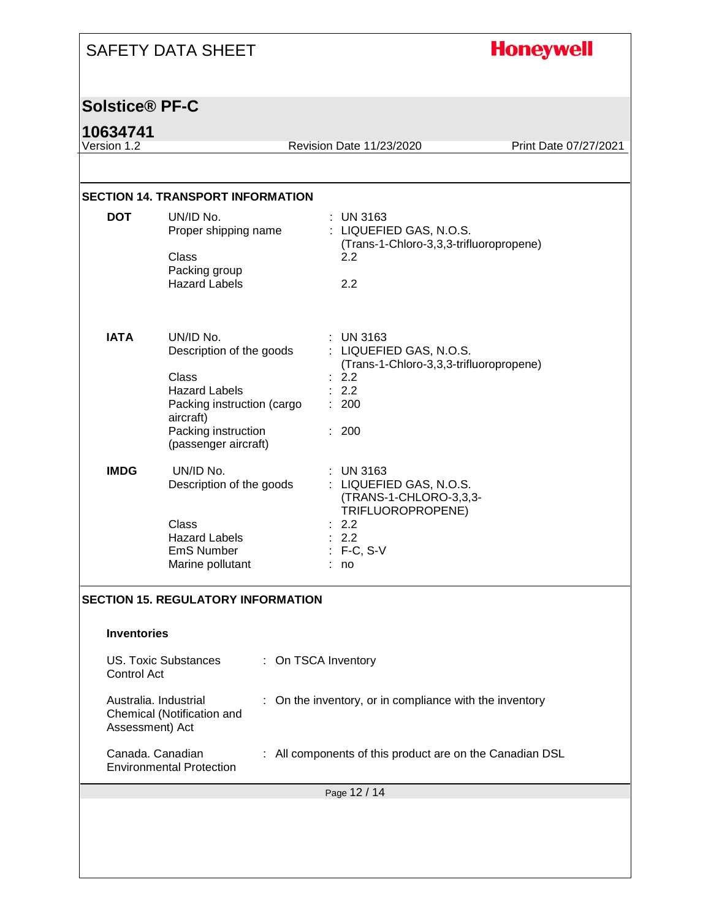|                         | <b>SAFETY DATA SHEET</b>                                                                                                                                         |                                                                                                                               | <b>Honeywell</b>      |  |  |
|-------------------------|------------------------------------------------------------------------------------------------------------------------------------------------------------------|-------------------------------------------------------------------------------------------------------------------------------|-----------------------|--|--|
| <b>Solstice® PF-C</b>   |                                                                                                                                                                  |                                                                                                                               |                       |  |  |
| 10634741<br>Version 1.2 |                                                                                                                                                                  | Revision Date 11/23/2020                                                                                                      | Print Date 07/27/2021 |  |  |
|                         | <b>SECTION 14. TRANSPORT INFORMATION</b>                                                                                                                         |                                                                                                                               |                       |  |  |
| <b>DOT</b>              | UN/ID No.<br>Proper shipping name<br>Class<br>Packing group<br><b>Hazard Labels</b>                                                                              | $:$ UN 3163<br>: LIQUEFIED GAS, N.O.S.<br>(Trans-1-Chloro-3,3,3-trifluoropropene)<br>2.2<br>2.2                               |                       |  |  |
| <b>IATA</b>             | UN/ID No.<br>Description of the goods<br>Class<br><b>Hazard Labels</b><br>Packing instruction (cargo<br>aircraft)<br>Packing instruction<br>(passenger aircraft) | : UN 3163<br>: LIQUEFIED GAS, N.O.S.<br>(Trans-1-Chloro-3,3,3-trifluoropropene)<br>: 2.2<br>: 2.2<br>: 200<br>: 200           |                       |  |  |
| <b>IMDG</b>             | UN/ID No.<br>Description of the goods<br>Class<br><b>Hazard Labels</b><br><b>EmS Number</b><br>Marine pollutant                                                  | $:$ UN 3163<br>: LIQUEFIED GAS, N.O.S.<br>(TRANS-1-CHLORO-3,3,3-<br>TRIFLUOROPROPENE)<br>: 2.2<br>: 2.2<br>$F-C, S-V$<br>: no |                       |  |  |
|                         | <b>SECTION 15. REGULATORY INFORMATION</b>                                                                                                                        |                                                                                                                               |                       |  |  |
| <b>Inventories</b>      |                                                                                                                                                                  |                                                                                                                               |                       |  |  |
|                         | <b>US. Toxic Substances</b><br>: On TSCA Inventory<br>Control Act                                                                                                |                                                                                                                               |                       |  |  |
| Assessment) Act         | Australia. Industrial<br>Chemical (Notification and                                                                                                              | On the inventory, or in compliance with the inventory                                                                         |                       |  |  |
|                         | Canada. Canadian<br><b>Environmental Protection</b>                                                                                                              | : All components of this product are on the Canadian DSL                                                                      |                       |  |  |
| Page 12 / 14            |                                                                                                                                                                  |                                                                                                                               |                       |  |  |
|                         |                                                                                                                                                                  |                                                                                                                               |                       |  |  |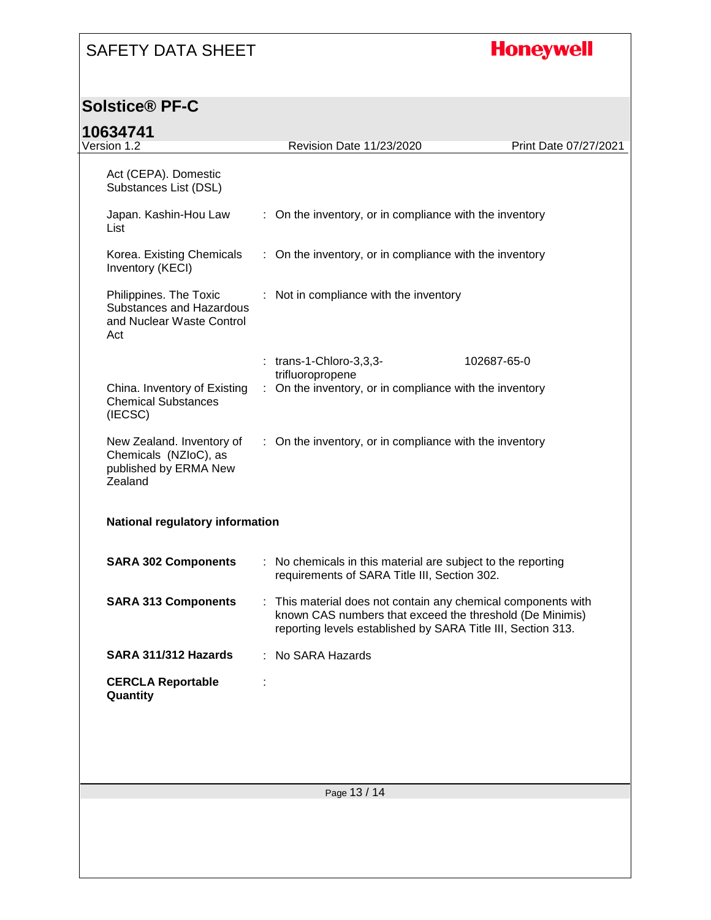## **Honeywell**

#### **Solstice® PF-C**

### **10634741**

| 10634741                                                                               |  |                                                                                                                                                                                           |                       |  |
|----------------------------------------------------------------------------------------|--|-------------------------------------------------------------------------------------------------------------------------------------------------------------------------------------------|-----------------------|--|
| Version 1.2                                                                            |  | Revision Date 11/23/2020                                                                                                                                                                  | Print Date 07/27/2021 |  |
| Act (CEPA). Domestic<br>Substances List (DSL)                                          |  |                                                                                                                                                                                           |                       |  |
| Japan. Kashin-Hou Law<br>List                                                          |  | : On the inventory, or in compliance with the inventory                                                                                                                                   |                       |  |
| Korea. Existing Chemicals<br>Inventory (KECI)                                          |  | : On the inventory, or in compliance with the inventory                                                                                                                                   |                       |  |
| Philippines. The Toxic<br>Substances and Hazardous<br>and Nuclear Waste Control<br>Act |  | : Not in compliance with the inventory                                                                                                                                                    |                       |  |
|                                                                                        |  | $:$ trans-1-Chloro-3,3,3-                                                                                                                                                                 | 102687-65-0           |  |
|                                                                                        |  | trifluoropropene                                                                                                                                                                          |                       |  |
| China. Inventory of Existing<br><b>Chemical Substances</b><br>(IECSC)                  |  | : On the inventory, or in compliance with the inventory                                                                                                                                   |                       |  |
| New Zealand. Inventory of<br>Chemicals (NZIoC), as<br>published by ERMA New<br>Zealand |  | : On the inventory, or in compliance with the inventory                                                                                                                                   |                       |  |
| National regulatory information                                                        |  |                                                                                                                                                                                           |                       |  |
| <b>SARA 302 Components</b>                                                             |  | : No chemicals in this material are subject to the reporting<br>requirements of SARA Title III, Section 302.                                                                              |                       |  |
| <b>SARA 313 Components</b>                                                             |  | : This material does not contain any chemical components with<br>known CAS numbers that exceed the threshold (De Minimis)<br>reporting levels established by SARA Title III, Section 313. |                       |  |
| SARA 311/312 Hazards                                                                   |  | : No SARA Hazards                                                                                                                                                                         |                       |  |
| <b>CERCLA Reportable</b><br>Quantity                                                   |  |                                                                                                                                                                                           |                       |  |
|                                                                                        |  |                                                                                                                                                                                           |                       |  |
|                                                                                        |  |                                                                                                                                                                                           |                       |  |
|                                                                                        |  |                                                                                                                                                                                           |                       |  |
|                                                                                        |  | Page 13 / 14                                                                                                                                                                              |                       |  |
|                                                                                        |  |                                                                                                                                                                                           |                       |  |
|                                                                                        |  |                                                                                                                                                                                           |                       |  |
|                                                                                        |  |                                                                                                                                                                                           |                       |  |